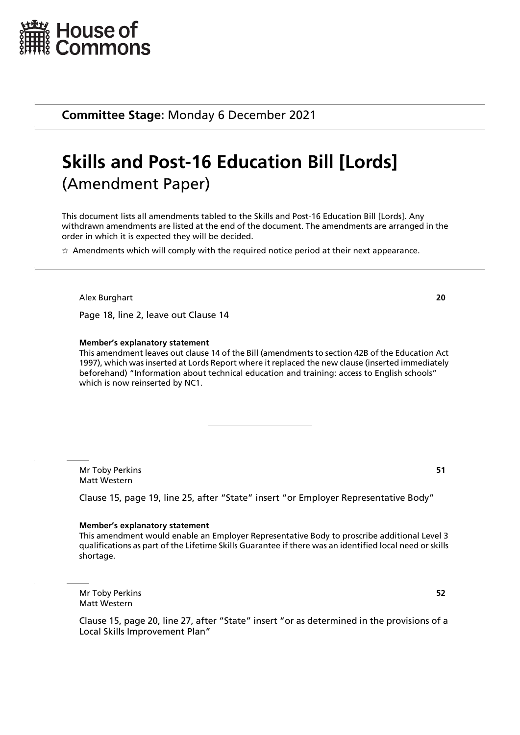

**Committee Stage:** Monday 6 December 2021

# **Skills and Post-16 Education Bill [Lords]** (Amendment Paper)

This document lists all amendments tabled to the Skills and Post-16 Education Bill [Lords]. Any withdrawn amendments are listed at the end of the document. The amendments are arranged in the order in which it is expected they will be decided.

 $\star$  Amendments which will comply with the required notice period at their next appearance.

Alex Burghart **20**

Page 18, line 2, leave out Clause 14

#### **Member's explanatory statement**

This amendment leaves out clause 14 of the Bill (amendments to section 42B of the Education Act 1997), which was inserted at Lords Report where it replaced the new clause (inserted immediately beforehand) "Information about technical education and training: access to English schools" which is now reinserted by NC1.

Mr Toby Perkins **51** Matt Western

Clause 15, page 19, line 25, after "State" insert "or Employer Representative Body"

#### **Member's explanatory statement**

This amendment would enable an Employer Representative Body to proscribe additional Level 3 qualifications as part of the Lifetime Skills Guarantee if there was an identified local need or skills shortage.

Mr Toby Perkins **52** Matt Western

Clause 15, page 20, line 27, after "State" insert "or as determined in the provisions of a Local Skills Improvement Plan"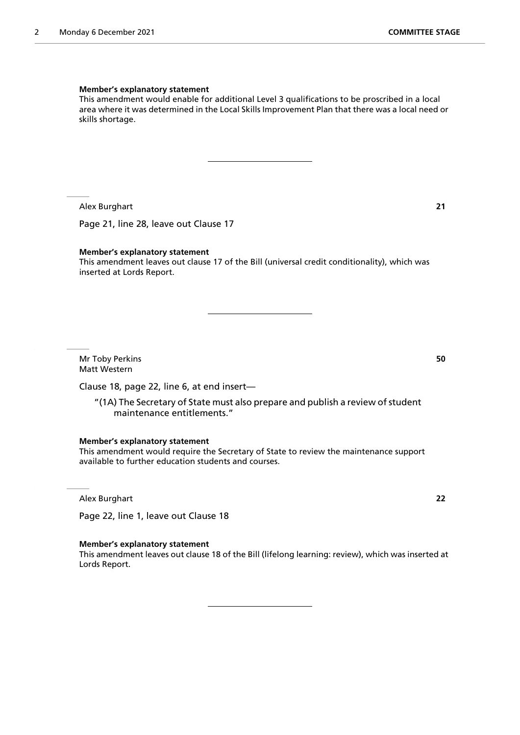#### **Member's explanatory statement**

This amendment would enable for additional Level 3 qualifications to be proscribed in a local area where it was determined in the Local Skills Improvement Plan that there was a local need or skills shortage.

Alex Burghart **21**

Page 21, line 28, leave out Clause 17

#### **Member's explanatory statement**

This amendment leaves out clause 17 of the Bill (universal credit conditionality), which was inserted at Lords Report.

Mr Toby Perkins **50** Matt Western

Clause 18, page 22, line 6, at end insert—

"(1A) The Secretary of State must also prepare and publish a review of student maintenance entitlements."

**Member's explanatory statement**

This amendment would require the Secretary of State to review the maintenance support available to further education students and courses.

Alex Burghart **22**

Page 22, line 1, leave out Clause 18

#### **Member's explanatory statement**

This amendment leaves out clause 18 of the Bill (lifelong learning: review), which was inserted at Lords Report.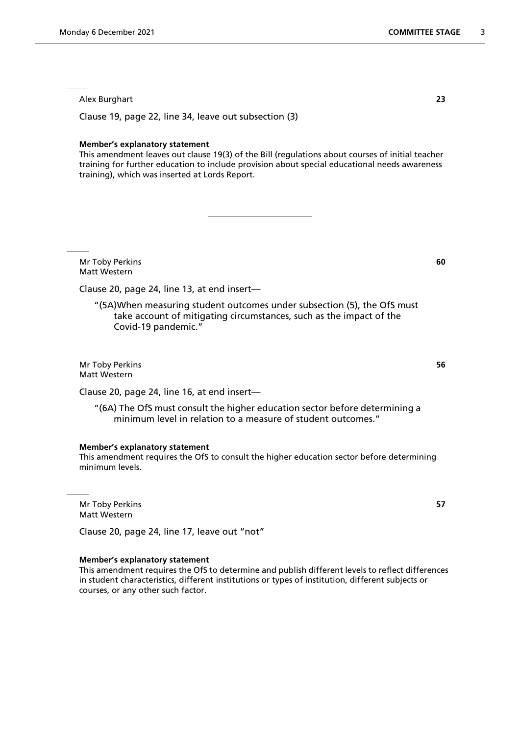Alex Burghart **23**

Clause 19, page 22, line 34, leave out subsection (3)

#### **Member's explanatory statement**

This amendment leaves out clause 19(3) of the Bill (regulations about courses of initial teacher training for further education to include provision about special educational needs awareness training), which was inserted at Lords Report.

Mr Toby Perkins **60** Matt Western

Clause 20, page 24, line 13, at end insert—

"(5A)When measuring student outcomes under subsection (5), the OfS must take account of mitigating circumstances, such as the impact of the Covid-19 pandemic."

Mr Toby Perkins **56** Matt Western

Clause 20, page 24, line 16, at end insert—

"(6A) The OfS must consult the higher education sector before determining a minimum level in relation to a measure of student outcomes."

# **Member's explanatory statement**

This amendment requires the OfS to consult the higher education sector before determining minimum levels.

Mr Toby Perkins **57** Matt Western

Clause 20, page 24, line 17, leave out "not"

#### **Member's explanatory statement**

This amendment requires the OfS to determine and publish different levels to reflect differences in student characteristics, different institutions or types of institution, different subjects or courses, or any other such factor.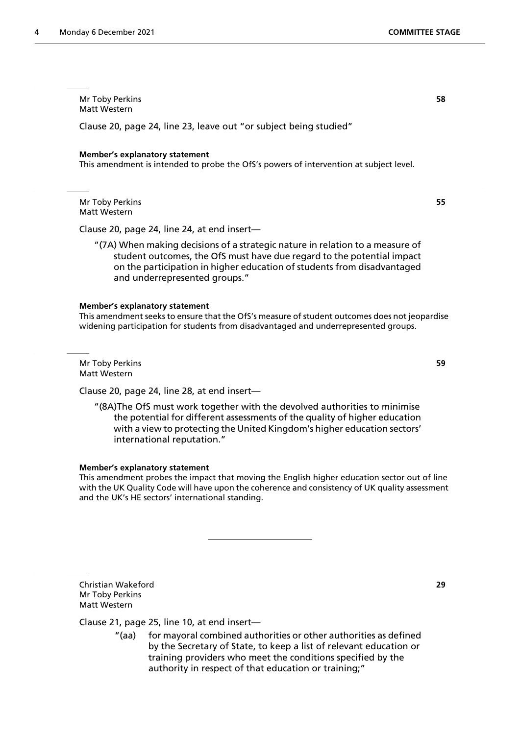Mr Toby Perkins **58** Matt Western

Clause 20, page 24, line 23, leave out "or subject being studied"

#### **Member's explanatory statement**

This amendment is intended to probe the OfS's powers of intervention at subject level.

Mr Toby Perkins **55** Matt Western

Clause 20, page 24, line 24, at end insert—

"(7A) When making decisions of a strategic nature in relation to a measure of student outcomes, the OfS must have due regard to the potential impact on the participation in higher education of students from disadvantaged and underrepresented groups."

#### **Member's explanatory statement**

This amendment seeks to ensure that the OfS's measure of student outcomes does not jeopardise widening participation for students from disadvantaged and underrepresented groups.

Mr Toby Perkins **59** Matt Western

Clause 20, page 24, line 28, at end insert—

"(8A)The OfS must work together with the devolved authorities to minimise the potential for different assessments of the quality of higher education with a view to protecting the United Kingdom's higher education sectors' international reputation."

#### **Member's explanatory statement**

This amendment probes the impact that moving the English higher education sector out of line with the UK Quality Code will have upon the coherence and consistency of UK quality assessment and the UK's HE sectors' international standing.

Christian Wakeford **29** Mr Toby Perkins Matt Western

Clause 21, page 25, line 10, at end insert—

"(aa) for mayoral combined authorities or other authorities as defined by the Secretary of State, to keep a list of relevant education or training providers who meet the conditions specified by the authority in respect of that education or training;"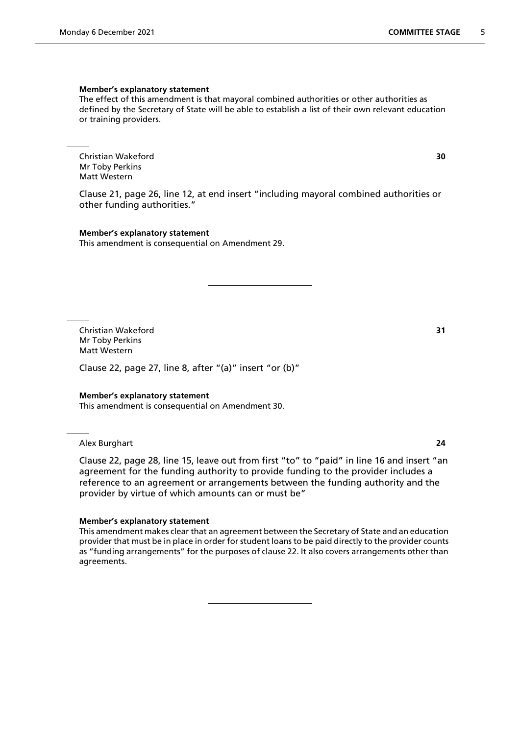#### **Member's explanatory statement**

The effect of this amendment is that mayoral combined authorities or other authorities as defined by the Secretary of State will be able to establish a list of their own relevant education or training providers.

Christian Wakeford **30** Mr Toby Perkins Matt Western

Clause 21, page 26, line 12, at end insert "including mayoral combined authorities or other funding authorities."

**Member's explanatory statement** This amendment is consequential on Amendment 29.

Christian Wakeford **31** Mr Toby Perkins Matt Western

Clause 22, page 27, line 8, after "(a)" insert "or (b)"

#### **Member's explanatory statement**

This amendment is consequential on Amendment 30.

Alex Burghart **24**

Clause 22, page 28, line 15, leave out from first "to" to "paid" in line 16 and insert "an agreement for the funding authority to provide funding to the provider includes a reference to an agreement or arrangements between the funding authority and the provider by virtue of which amounts can or must be"

#### **Member's explanatory statement**

This amendment makes clear that an agreement between the Secretary of State and an education provider that must be in place in order for student loans to be paid directly to the provider counts as "funding arrangements" for the purposes of clause 22. It also covers arrangements other than agreements.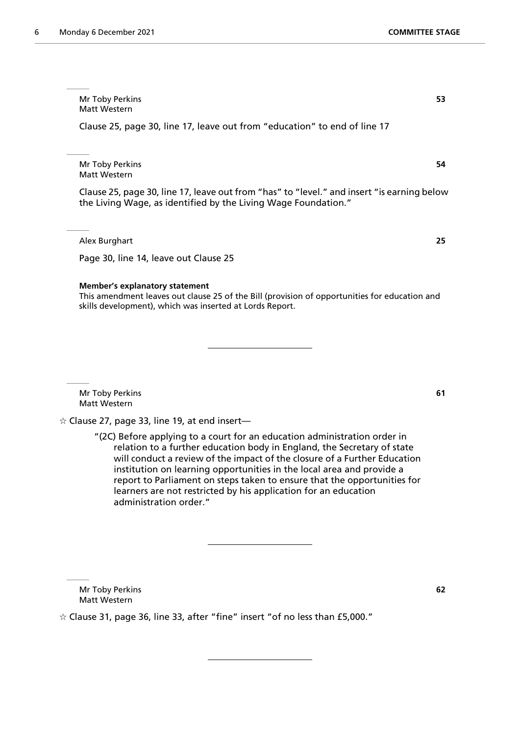Mr Toby Perkins **53** Matt Western

Clause 25, page 30, line 17, leave out from "education" to end of line 17

Mr Toby Perkins **54** Matt Western

Clause 25, page 30, line 17, leave out from "has" to "level." and insert "is earning below the Living Wage, as identified by the Living Wage Foundation."

Alex Burghart **25**

Page 30, line 14, leave out Clause 25

#### **Member's explanatory statement**

This amendment leaves out clause 25 of the Bill (provision of opportunities for education and skills development), which was inserted at Lords Report.

Mr Toby Perkins **61** Matt Western

 $\hat{\varphi}$  Clause 27, page 33, line 19, at end insert—

"(2C) Before applying to a court for an education administration order in relation to a further education body in England, the Secretary of state will conduct a review of the impact of the closure of a Further Education institution on learning opportunities in the local area and provide a report to Parliament on steps taken to ensure that the opportunities for learners are not restricted by his application for an education administration order."

Mr Toby Perkins **62** Matt Western

 $\dot{\varphi}$  Clause 31, page 36, line 33, after "fine" insert "of no less than £5,000."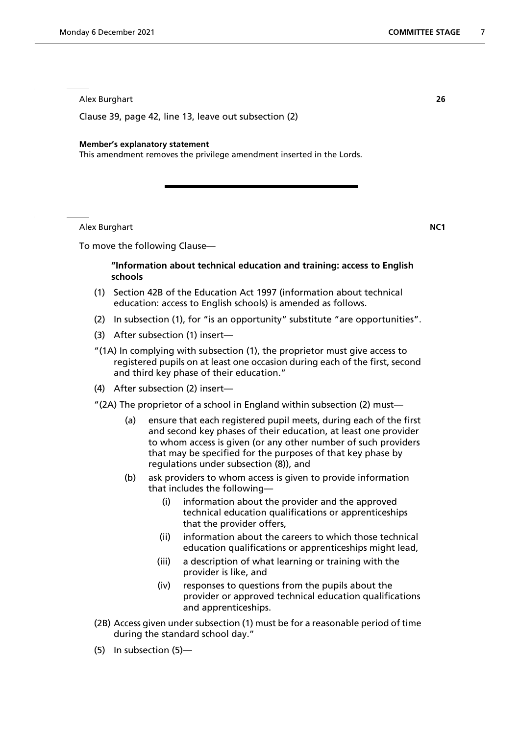Alex Burghart **26**

Clause 39, page 42, line 13, leave out subsection (2)

#### **Member's explanatory statement**

This amendment removes the privilege amendment inserted in the Lords.

Alex Burghart **NC1**

To move the following Clause—

# **"Information about technical education and training: access to English schools**

- (1) Section 42B of the Education Act 1997 (information about technical education: access to English schools) is amended as follows.
- (2) In subsection (1), for "is an opportunity" substitute "are opportunities".
- (3) After subsection (1) insert—
- "(1A) In complying with subsection (1), the proprietor must give access to registered pupils on at least one occasion during each of the first, second and third key phase of their education."
- (4) After subsection (2) insert—
- "(2A) The proprietor of a school in England within subsection (2) must—
	- (a) ensure that each registered pupil meets, during each of the first and second key phases of their education, at least one provider to whom access is given (or any other number of such providers that may be specified for the purposes of that key phase by regulations under subsection (8)), and
	- (b) ask providers to whom access is given to provide information that includes the following—
		- (i) information about the provider and the approved technical education qualifications or apprenticeships that the provider offers,
		- (ii) information about the careers to which those technical education qualifications or apprenticeships might lead,
		- (iii) a description of what learning or training with the provider is like, and
		- (iv) responses to questions from the pupils about the provider or approved technical education qualifications and apprenticeships.
- (2B) Access given under subsection (1) must be for a reasonable period of time during the standard school day."
- (5) In subsection (5)—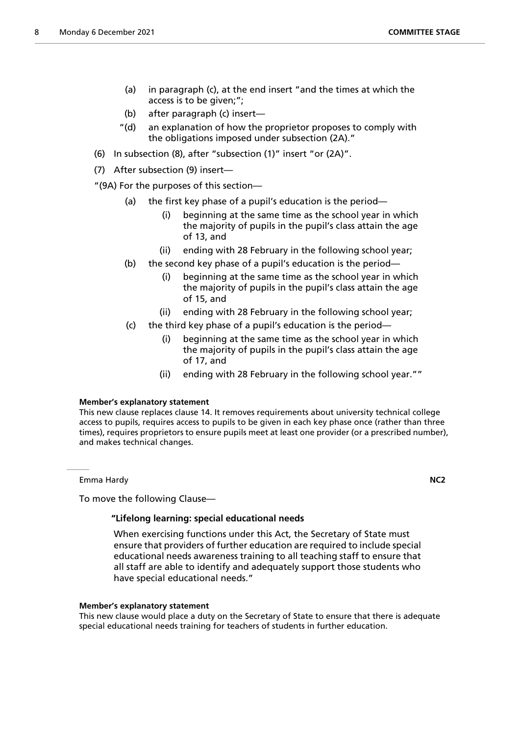- (a) in paragraph (c), at the end insert "and the times at which the access is to be given;";
- (b) after paragraph (c) insert—
- "(d) an explanation of how the proprietor proposes to comply with the obligations imposed under subsection (2A)."
- (6) In subsection (8), after "subsection (1)" insert "or (2A)".
- (7) After subsection (9) insert—

"(9A) For the purposes of this section—

- (a) the first key phase of a pupil's education is the period—
	- (i) beginning at the same time as the school year in which the majority of pupils in the pupil's class attain the age of 13, and
	- (ii) ending with 28 February in the following school year;
- (b) the second key phase of a pupil's education is the period—
	- (i) beginning at the same time as the school year in which the majority of pupils in the pupil's class attain the age of 15, and
	- (ii) ending with 28 February in the following school year;
- (c) the third key phase of a pupil's education is the period—
	- (i) beginning at the same time as the school year in which the majority of pupils in the pupil's class attain the age of 17, and
	- (ii) ending with 28 February in the following school year.""

# **Member's explanatory statement**

This new clause replaces clause 14. It removes requirements about university technical college access to pupils, requires access to pupils to be given in each key phase once (rather than three times), requires proprietors to ensure pupils meet at least one provider (or a prescribed number), and makes technical changes.

Emma Hardy **NC2**

To move the following Clause—

# **"Lifelong learning: special educational needs**

 When exercising functions under this Act, the Secretary of State must ensure that providers of further education are required to include special educational needs awareness training to all teaching staff to ensure that all staff are able to identify and adequately support those students who have special educational needs."

# **Member's explanatory statement**

This new clause would place a duty on the Secretary of State to ensure that there is adequate special educational needs training for teachers of students in further education.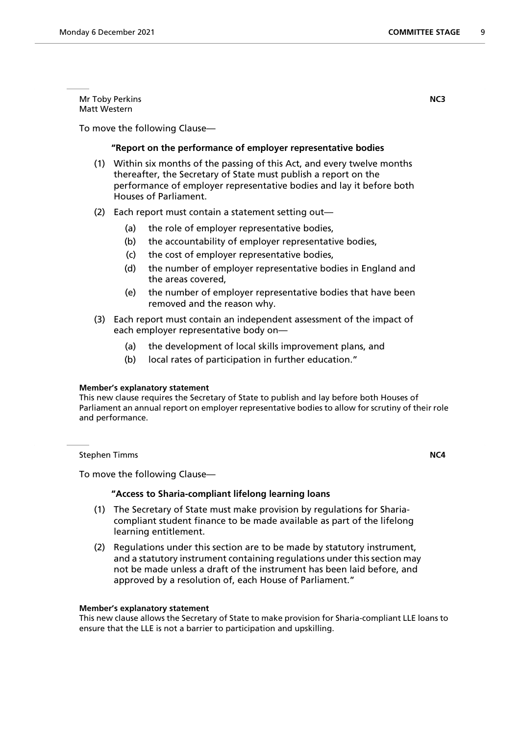Mr Toby Perkins **NC3** Matt Western

To move the following Clause—

# **"Report on the performance of employer representative bodies**

- (1) Within six months of the passing of this Act, and every twelve months thereafter, the Secretary of State must publish a report on the performance of employer representative bodies and lay it before both Houses of Parliament.
- (2) Each report must contain a statement setting out—
	- (a) the role of employer representative bodies,
	- (b) the accountability of employer representative bodies,
	- (c) the cost of employer representative bodies,
	- (d) the number of employer representative bodies in England and the areas covered,
	- (e) the number of employer representative bodies that have been removed and the reason why.
- (3) Each report must contain an independent assessment of the impact of each employer representative body on—
	- (a) the development of local skills improvement plans, and
	- (b) local rates of participation in further education."

# **Member's explanatory statement**

This new clause requires the Secretary of State to publish and lay before both Houses of Parliament an annual report on employer representative bodies to allow for scrutiny of their role and performance.

**Stephen Timms NC4** 

To move the following Clause—

# **"Access to Sharia-compliant lifelong learning loans**

- (1) The Secretary of State must make provision by regulations for Shariacompliant student finance to be made available as part of the lifelong learning entitlement.
- (2) Regulations under this section are to be made by statutory instrument, and a statutory instrument containing regulations under this section may not be made unless a draft of the instrument has been laid before, and approved by a resolution of, each House of Parliament."

#### **Member's explanatory statement**

This new clause allows the Secretary of State to make provision for Sharia-compliant LLE loans to ensure that the LLE is not a barrier to participation and upskilling.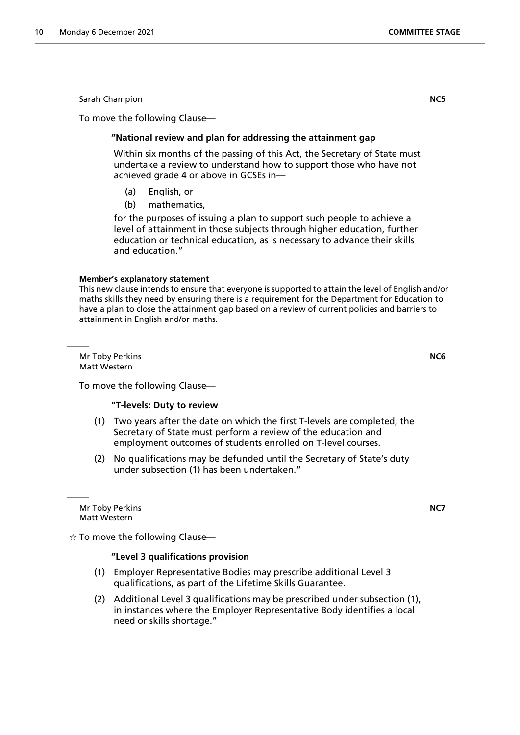Sarah Champion **NC5**

To move the following Clause—

# **"National review and plan for addressing the attainment gap**

 Within six months of the passing of this Act, the Secretary of State must undertake a review to understand how to support those who have not achieved grade 4 or above in GCSEs in—

- (a) English, or
- (b) mathematics,

for the purposes of issuing a plan to support such people to achieve a level of attainment in those subjects through higher education, further education or technical education, as is necessary to advance their skills and education."

# **Member's explanatory statement**

This new clause intends to ensure that everyone is supported to attain the level of English and/or maths skills they need by ensuring there is a requirement for the Department for Education to have a plan to close the attainment gap based on a review of current policies and barriers to attainment in English and/or maths.

Mr Toby Perkins **NC6** Matt Western

To move the following Clause—

# **"T-levels: Duty to review**

- (1) Two years after the date on which the first T-levels are completed, the Secretary of State must perform a review of the education and employment outcomes of students enrolled on T-level courses.
- (2) No qualifications may be defunded until the Secretary of State's duty under subsection (1) has been undertaken."

Mr Toby Perkins **NC7** Matt Western

 $\dot{\varphi}$  To move the following Clause—

# **"Level 3 qualifications provision**

- (1) Employer Representative Bodies may prescribe additional Level 3 qualifications, as part of the Lifetime Skills Guarantee.
- (2) Additional Level 3 qualifications may be prescribed under subsection (1), in instances where the Employer Representative Body identifies a local need or skills shortage."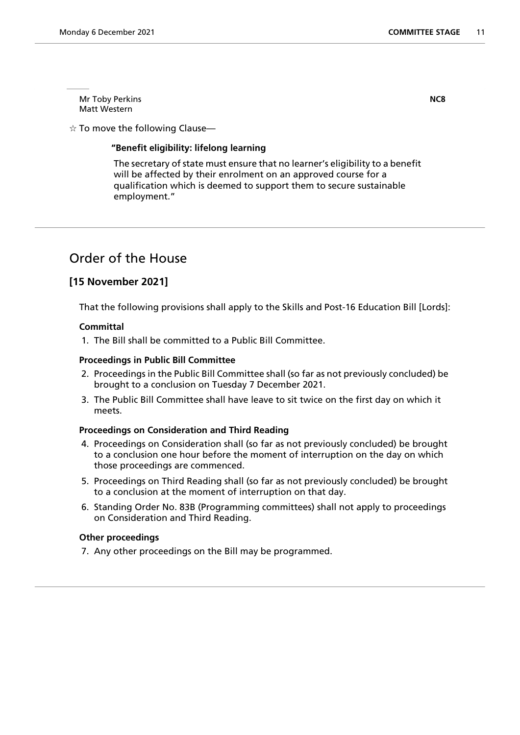Mr Toby Perkins **NC8** Matt Western

 $\dot{\mathbb{X}}$  To move the following Clause—

# **"Benefit eligibility: lifelong learning**

 The secretary of state must ensure that no learner's eligibility to a benefit will be affected by their enrolment on an approved course for a qualification which is deemed to support them to secure sustainable employment."

# Order of the House

# **[15 November 2021]**

That the following provisions shall apply to the Skills and Post-16 Education Bill [Lords]:

# **Committal**

1. The Bill shall be committed to a Public Bill Committee.

# **Proceedings in Public Bill Committee**

- 2. Proceedings in the Public Bill Committee shall (so far as not previously concluded) be brought to a conclusion on Tuesday 7 December 2021.
- 3. The Public Bill Committee shall have leave to sit twice on the first day on which it meets.

# **Proceedings on Consideration and Third Reading**

- 4. Proceedings on Consideration shall (so far as not previously concluded) be brought to a conclusion one hour before the moment of interruption on the day on which those proceedings are commenced.
- 5. Proceedings on Third Reading shall (so far as not previously concluded) be brought to a conclusion at the moment of interruption on that day.
- 6. Standing Order No. 83B (Programming committees) shall not apply to proceedings on Consideration and Third Reading.

# **Other proceedings**

7. Any other proceedings on the Bill may be programmed.